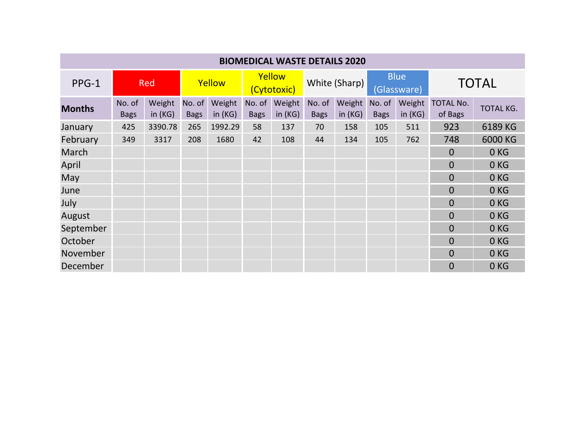| <b>BIOMEDICAL WASTE DETAILS 2020</b> |                       |                     |                       |                  |                       |                  |                       |                     |                            |                     |                             |                  |
|--------------------------------------|-----------------------|---------------------|-----------------------|------------------|-----------------------|------------------|-----------------------|---------------------|----------------------------|---------------------|-----------------------------|------------------|
| $PPG-1$                              | <b>Red</b>            |                     | Yellow                |                  | Yellow<br>(Cytotoxic) |                  | White (Sharp)         |                     | <b>Blue</b><br>(Glassware) |                     | <b>TOTAL</b>                |                  |
| <b>Months</b>                        | No. of<br><b>Bags</b> | Weight<br>in $(KG)$ | No. of<br><b>Bags</b> | Weight<br>in(KG) | No. of<br><b>Bags</b> | Weight<br>in(KG) | No. of<br><b>Bags</b> | Weight<br>in $(KG)$ | No. of<br><b>Bags</b>      | Weight<br>in $(KG)$ | <b>TOTAL No.</b><br>of Bags | <b>TOTAL KG.</b> |
| January                              | 425                   | 3390.78             | 265                   | 1992.29          | 58                    | 137              | 70                    | 158                 | 105                        | 511                 | 923                         | 6189 KG          |
| February                             | 349                   | 3317                | 208                   | 1680             | 42                    | 108              | 44                    | 134                 | 105                        | 762                 | 748                         | 6000 KG          |
| March                                |                       |                     |                       |                  |                       |                  |                       |                     |                            |                     | $\overline{0}$              | 0 <sub>KG</sub>  |
| April                                |                       |                     |                       |                  |                       |                  |                       |                     |                            |                     | $\Omega$                    | 0 <sub>KG</sub>  |
| May                                  |                       |                     |                       |                  |                       |                  |                       |                     |                            |                     | $\Omega$                    | 0KG              |
| June                                 |                       |                     |                       |                  |                       |                  |                       |                     |                            |                     | $\overline{0}$              | 0 <sub>KG</sub>  |
| July                                 |                       |                     |                       |                  |                       |                  |                       |                     |                            |                     | 0                           | 0 <sub>KG</sub>  |
| August                               |                       |                     |                       |                  |                       |                  |                       |                     |                            |                     | $\overline{0}$              | 0 <sub>KG</sub>  |
| September                            |                       |                     |                       |                  |                       |                  |                       |                     |                            |                     | $\overline{0}$              | 0KG              |
| October                              |                       |                     |                       |                  |                       |                  |                       |                     |                            |                     | $\Omega$                    | 0 <sub>KG</sub>  |
| November                             |                       |                     |                       |                  |                       |                  |                       |                     |                            |                     | $\Omega$                    | 0 <sub>KG</sub>  |
| December                             |                       |                     |                       |                  |                       |                  |                       |                     |                            |                     | $\overline{0}$              | 0 <sub>KG</sub>  |